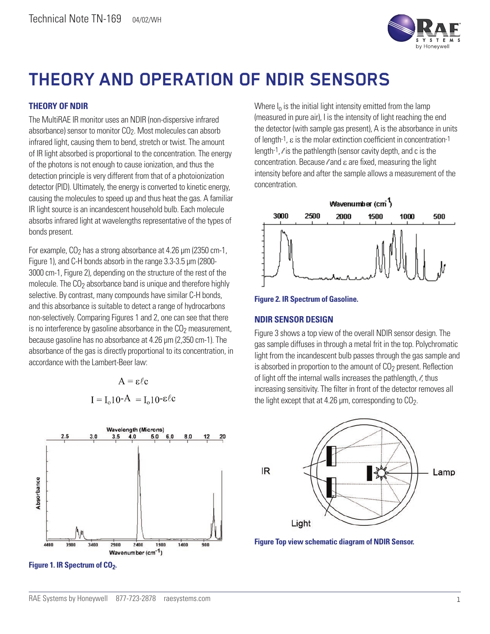

## **THEORY AND OPERATION OF NDIR SENSORS**

## **THEORY OF NDIR**

The MultiRAE IR monitor uses an NDIR (non-dispersive infrared absorbance) sensor to monitor CO2. Most molecules can absorb infrared light, causing them to bend, stretch or twist. The amount of IR light absorbed is proportional to the concentration. The energy of the photons is not enough to cause ionization, and thus the detection principle is very different from that of a photoionization detector (PID). Ultimately, the energy is converted to kinetic energy, causing the molecules to speed up and thus heat the gas. A familiar IR light source is an incandescent household bulb. Each molecule absorbs infrared light at wavelengths representative of the types of bonds present.

For example,  $CO<sub>2</sub>$  has a strong absorbance at 4.26  $\mu$ m (2350 cm-1, Figure 1), and C-H bonds absorb in the range 3.3-3.5 μm (2800- 3000 cm-1, Figure 2), depending on the structure of the rest of the molecule. The  $CO<sub>2</sub>$  absorbance band is unique and therefore highly selective. By contrast, many compounds have similar C-H bonds, and this absorbance is suitable to detect a range of hydrocarbons non-selectively. Comparing Figures 1 and 2, one can see that there is no interference by gasoline absorbance in the  $CO<sub>2</sub>$  measurement, because gasoline has no absorbance at 4.26 μm (2,350 cm-1). The absorbance of the gas is directly proportional to its concentration, in accordance with the Lambert-Beer law:

 $A = \varepsilon/c$ 

 $I = I_0 10-A = I_0 10 - \epsilon \ell c$ 



**Figure 1. IR Spectrum of CO<sub>2</sub>.** 

Where  $I_0$  is the initial light intensity emitted from the lamp (measured in pure air), I is the intensity of light reaching the end the detector (with sample gas present), A is the absorbance in units of length-1, ε is the molar extinction coefficient in concentration-1 length-1,  $\ell$  is the pathlength (sensor cavity depth, and c is the concentration. Because  $\ell$  and ε are fixed, measuring the light intensity before and after the sample allows a measurement of the concentration.





## **NDIR SENSOR DESIGN**

Figure 3 shows a top view of the overall NDIR sensor design. The gas sample diffuses in through a metal frit in the top. Polychromatic light from the incandescent bulb passes through the gas sample and is absorbed in proportion to the amount of  $CO<sub>2</sub>$  present. Reflection of light off the internal walls increases the pathlength,  $\ell$ , thus increasing sensitivity. The filter in front of the detector removes all the light except that at 4.26  $\mu$ m, corresponding to  $CO<sub>2</sub>$ .



**Figure Top view schematic diagram of NDIR Sensor.**